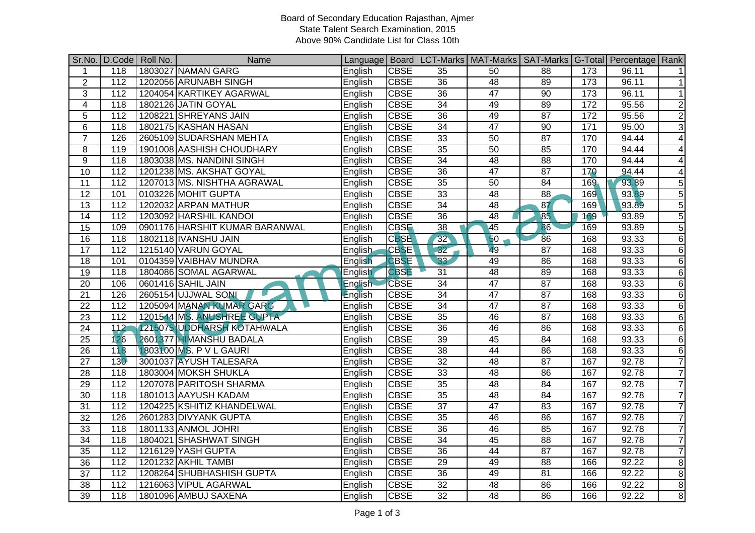## Board of Secondary Education Rajasthan, Ajmer State Talent Search Examination, 2015 Above 90% Candidate List for Class 10th

|                 |                  | Sr.No. D.Code Roll No. | Name                              |                |             |                 | Language   Board   LCT-Marks   MAT-Marks   SAT-Marks   G-Total   Percentage   Rank |                 |     |       |                 |
|-----------------|------------------|------------------------|-----------------------------------|----------------|-------------|-----------------|------------------------------------------------------------------------------------|-----------------|-----|-------|-----------------|
| 1               | 118              |                        | 1803027 NAMAN GARG                | English        | <b>CBSE</b> | 35              | 50                                                                                 | 88              | 173 | 96.11 | 11              |
| $\overline{2}$  | 112              |                        | 1202056 ARUNABH SINGH             | English        | <b>CBSE</b> | 36              | 48                                                                                 | 89              | 173 | 96.11 | $\overline{1}$  |
| 3               | 112              |                        | 1204054 KARTIKEY AGARWAL          | English        | <b>CBSE</b> | 36              | $\overline{47}$                                                                    | 90              | 173 | 96.11 | 1               |
| 4               | 118              |                        | 1802126 JATIN GOYAL               | English        | <b>CBSE</b> | 34              | 49                                                                                 | 89              | 172 | 95.56 | $\overline{2}$  |
| 5               | 112              |                        | 1208221 SHREYANS JAIN             | English        | <b>CBSE</b> | $\overline{36}$ | 49                                                                                 | 87              | 172 | 95.56 | $\overline{2}$  |
| $\,6$           | $\overline{118}$ |                        | 1802175 KASHAN HASAN              | English        | <b>CBSE</b> | 34              | $\overline{47}$                                                                    | 90              | 171 | 95.00 | $\overline{3}$  |
| $\overline{7}$  | 126              |                        | 2605109 SUDARSHAN MEHTA           | English        | <b>CBSE</b> | 33              | 50                                                                                 | 87              | 170 | 94.44 | $\overline{4}$  |
| 8               | 119              |                        | 1901008 AASHISH CHOUDHARY         | English        | <b>CBSE</b> | $\overline{35}$ | 50                                                                                 | 85              | 170 | 94.44 | $\vert$         |
| 9               | 118              |                        | 1803038 MS. NANDINI SINGH         | English        | <b>CBSE</b> | 34              | 48                                                                                 | 88              | 170 | 94.44 | $\overline{4}$  |
| 10              | 112              |                        | 1201238 MS. AKSHAT GOYAL          | English        | <b>CBSE</b> | 36              | 47                                                                                 | $\overline{87}$ | 170 | 94.44 | $\vert 4 \vert$ |
| $\overline{11}$ | $\overline{112}$ |                        | 1207013 MS. NISHTHA AGRAWAL       | English        | <b>CBSE</b> | 35              | 50                                                                                 | 84              | 169 | 93.89 | $\overline{5}$  |
| $\overline{12}$ | 101              |                        | 0103226 MOHIT GUPTA               | English        | <b>CBSE</b> | $\overline{33}$ | 48                                                                                 | $\overline{88}$ | 169 | 93.89 | $\overline{5}$  |
| $\overline{13}$ | $\overline{112}$ |                        | 1202032 ARPAN MATHUR              | English        | <b>CBSE</b> | 34              | 48                                                                                 | $\overline{87}$ | 169 | 93.89 | $\overline{5}$  |
| $\overline{14}$ | $\frac{11}{2}$   |                        | 1203092 HARSHIL KANDOI            | English        | <b>CBSE</b> | $\overline{36}$ | $\overline{48}$                                                                    | 85              | 169 | 93.89 | $\overline{5}$  |
| $\overline{15}$ | 109              |                        | 0901176 HARSHIT KUMAR BARANWAL    | English        | <b>CBSE</b> | $\overline{38}$ | 45                                                                                 | 86              | 169 | 93.89 | $\overline{5}$  |
| 16              | 118              |                        | 1802118 IVANSHU JAIN              | English        | <b>CBSE</b> | 32              | 50                                                                                 | 86              | 168 | 93.33 | $\overline{6}$  |
| 17              | 112              |                        | 1215140 VARUN GOYAL               | English        | <b>CBSE</b> | 32              | 49                                                                                 | $\overline{87}$ | 168 | 93.33 | $6 \mid$        |
| $\overline{18}$ | 101              |                        | 0104359 VAIBHAV MUNDRA            | English        | <b>CBSE</b> | 33              | 49                                                                                 | 86              | 168 | 93.33 | $\sigma$        |
| 19              | $\overline{118}$ |                        | 1804086 SOMAL AGARWAL             | English        | <b>CBSE</b> | 31              | 48                                                                                 | 89              | 168 | 93.33 | $\sigma$        |
| $\overline{20}$ | 106              |                        | 0601416 SAHIL JAIN                | <b>English</b> | <b>CBSE</b> | 34              | $\overline{47}$                                                                    | 87              | 168 | 93.33 | 6 <sup>1</sup>  |
| $\overline{21}$ | 126              |                        | 2605154 UJJWAL SONI               | English        | <b>CBSE</b> | $\overline{34}$ | 47                                                                                 | $\overline{87}$ | 168 | 93.33 | $\overline{6}$  |
| 22              | 112              |                        | 1205094 MANAN KUMAR GARG          | English        | <b>CBSE</b> | 34              | 47                                                                                 | $\overline{87}$ | 168 | 93.33 | $\overline{6}$  |
| $\overline{23}$ | 112              |                        | 1201544 MS. ANUSHREE GUPTA        | English        | <b>CBSE</b> | 35              | 46                                                                                 | 87              | 168 | 93.33 | $\overline{6}$  |
| 24              | 112              |                        | <b>1215075 UDDHARSH KOTAHWALA</b> | English        | <b>CBSE</b> | 36              | 46                                                                                 | 86              | 168 | 93.33 | 6               |
| $\overline{25}$ | 126              |                        | 2601377 HIMANSHU BADALA           | English        | <b>CBSE</b> | 39              | 45                                                                                 | 84              | 168 | 93.33 | $\overline{6}$  |
| 26              | 118              |                        | 1803100 MS. P V L GAURI           | English        | <b>CBSE</b> | $\overline{38}$ | 44                                                                                 | $\overline{86}$ | 168 | 93.33 | $\sigma$        |
| $\overline{27}$ | 130              |                        | 3001037 AYUSH TALESARA            | English        | <b>CBSE</b> | 32              | 48                                                                                 | 87              | 167 | 92.78 | $\overline{7}$  |
| $\overline{28}$ | 118              |                        | 1803004 MOKSH SHUKLA              | English        | <b>CBSE</b> | 33              | $\overline{48}$                                                                    | 86              | 167 | 92.78 | $\overline{7}$  |
| 29              | 112              |                        | 1207078 PARITOSH SHARMA           | English        | <b>CBSE</b> | $\overline{35}$ | $\overline{48}$                                                                    | 84              | 167 | 92.78 | $\overline{7}$  |
| $\overline{30}$ | 118              |                        | 1801013 AAYUSH KADAM              | English        | <b>CBSE</b> | 35              | 48                                                                                 | 84              | 167 | 92.78 | $\overline{7}$  |
| 31              | 112              |                        | 1204225 KSHITIZ KHANDELWAL        | English        | <b>CBSE</b> | $\overline{37}$ | $\overline{47}$                                                                    | 83              | 167 | 92.78 | $\overline{7}$  |
| $\overline{32}$ | 126              |                        | 2601283 DIVYANK GUPTA             | English        | <b>CBSE</b> | $\overline{35}$ | 46                                                                                 | 86              | 167 | 92.78 | $\overline{7}$  |
| 33              | $\overline{118}$ |                        | 1801133 ANMOL JOHRI               | English        | <b>CBSE</b> | $\overline{36}$ | 46                                                                                 | 85              | 167 | 92.78 | $\overline{7}$  |
| 34              | 118              |                        | 1804021 SHASHWAT SINGH            | English        | <b>CBSE</b> | 34              | 45                                                                                 | 88              | 167 | 92.78 | $\overline{7}$  |
| $\overline{35}$ | 112              |                        | 1216129 YASH GUPTA                | English        | <b>CBSE</b> | $\overline{36}$ | 44                                                                                 | 87              | 167 | 92.78 | $\overline{7}$  |
| 36              | 112              |                        | 1201232 AKHIL TAMBI               | English        | <b>CBSE</b> | 29              | 49                                                                                 | 88              | 166 | 92.22 | $\bf{8}$        |
| $\overline{37}$ | 112              |                        | 1208264 SHUBHASHISH GUPTA         | English        | <b>CBSE</b> | 36              | 49                                                                                 | 81              | 166 | 92.22 | 8               |
| 38              | 112              |                        | 1216063 VIPUL AGARWAL             | English        | <b>CBSE</b> | 32              | 48                                                                                 | 86              | 166 | 92.22 | $\infty$        |
| 39              | 118              |                        | 1801096 AMBUJ SAXENA              | English        | <b>CBSE</b> | $\overline{32}$ | $\overline{48}$                                                                    | 86              | 166 | 92.22 | $\infty$        |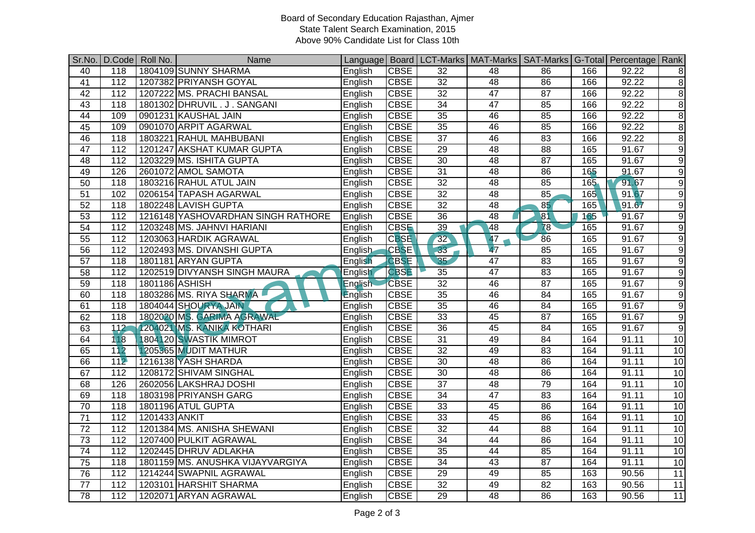## Board of Secondary Education Rajasthan, Ajmer State Talent Search Examination, 2015 Above 90% Candidate List for Class 10th

| Sr.No.          |                  | D.Code   Roll No. | Name                               |                |             |                 | Language   Board   LCT-Marks   MAT-Marks   SAT-Marks   G-Total   Percentage   Rank |                 |         |       |                |
|-----------------|------------------|-------------------|------------------------------------|----------------|-------------|-----------------|------------------------------------------------------------------------------------|-----------------|---------|-------|----------------|
| 40              | 118              |                   | 1804109 SUNNY SHARMA               | English        | <b>CBSE</b> | 32              | 48                                                                                 | 86              | 166     | 92.22 | 8 <sup>1</sup> |
| $\overline{41}$ | 112              |                   | 1207382 PRIYANSH GOYAL             | English        | <b>CBSE</b> | 32              | 48                                                                                 | 86              | 166     | 92.22 | 8              |
| 42              | 112              |                   | 1207222 MS. PRACHI BANSAL          | English        | <b>CBSE</b> | 32              | 47                                                                                 | 87              | 166     | 92.22 | $\infty$       |
| $\overline{43}$ | $\overline{118}$ |                   | 1801302 DHRUVIL.J. SANGANI         | English        | <b>CBSE</b> | 34              | $\overline{47}$                                                                    | 85              | 166     | 92.22 | 8              |
| 44              | 109              |                   | 0901231 KAUSHAL JAIN               | English        | <b>CBSE</b> | 35              | 46                                                                                 | 85              | 166     | 92.22 | $\infty$       |
| 45              | 109              |                   | 0901070 ARPIT AGARWAL              | English        | <b>CBSE</b> | 35              | 46                                                                                 | 85              | 166     | 92.22 | 8              |
| 46              | 118              |                   | 1803221 RAHUL MAHBUBANI            | English        | <b>CBSE</b> | $\overline{37}$ | 46                                                                                 | 83              | 166     | 92.22 | $\infty$       |
| 47              | 112              |                   | 1201247 AKSHAT KUMAR GUPTA         | English        | <b>CBSE</b> | 29              | 48                                                                                 | 88              | 165     | 91.67 | $\overline{9}$ |
| 48              | 112              |                   | 1203229 MS. ISHITA GUPTA           | English        | <b>CBSE</b> | 30              | 48                                                                                 | 87              | 165     | 91.67 | $\overline{9}$ |
| 49              | 126              |                   | 2601072 AMOL SAMOTA                | English        | <b>CBSE</b> | 31              | 48                                                                                 | 86              | 165     | 91.67 | $\overline{9}$ |
| 50              | 118              |                   | 1803216 RAHUL ATUL JAIN            | English        | <b>CBSE</b> | 32              | 48                                                                                 | 85              | $165 -$ | 91.67 | $\overline{9}$ |
| $\overline{51}$ | 102              |                   | 0206154 TAPASH AGARWAL             | English        | <b>CBSE</b> | $\overline{32}$ | 48                                                                                 | 85              | 165     | 91.67 | $\overline{9}$ |
| 52              | $\overline{118}$ |                   | 1802248 LAVISH GUPTA               | English        | <b>CBSE</b> | 32              | 48                                                                                 | 85              | 165     | 91.67 | $\overline{9}$ |
| $\overline{53}$ | 112              |                   | 1216148 YASHOVARDHAN SINGH RATHORE | English        | <b>CBSE</b> | $\overline{36}$ | $\overline{48}$                                                                    | $\overline{81}$ | 165     | 91.67 | $\overline{9}$ |
| $\overline{54}$ | 112              |                   | 1203248 MS. JAHNVI HARIANI         | English        | <b>CBSE</b> | $\overline{39}$ | 48                                                                                 | 78              | 165     | 91.67 | $\overline{9}$ |
| 55              | 112              |                   | 1203063 HARDIK AGRAWAL             | English        | <b>CBSE</b> | 32              | 47                                                                                 | 86              | 165     | 91.67 | $\overline{9}$ |
| 56              | 112              |                   | 1202493 MS. DIVANSHI GUPTA         | English        | <b>CBSE</b> | $-33$           | $\overline{47}$                                                                    | 85              | 165     | 91.67 | $\overline{9}$ |
| 57              | 118              |                   | 1801181 ARYAN GUPTA                | English        | <b>CBSE</b> | 35              | 47                                                                                 | 83              | 165     | 91.67 | $\overline{9}$ |
| 58              | 112              |                   | 1202519 DIVYANSH SINGH MAURA       | English        | <b>CBSE</b> | 35              | 47                                                                                 | 83              | 165     | 91.67 | $\overline{9}$ |
| 59              | $\overline{118}$ | 1801186 ASHISH    |                                    | <b>English</b> | <b>CBSE</b> | 32              | 46                                                                                 | 87              | 165     | 91.67 | $\overline{9}$ |
| 60              | 118              |                   | 1803286 MS. RIYA SHARMA            | <b>English</b> | <b>CBSE</b> | 35              | 46                                                                                 | 84              | 165     | 91.67 | $\overline{9}$ |
| 61              | $\overline{118}$ |                   | 1804044 SHOURYA JAIN               | English        | <b>CBSE</b> | 35              | 46                                                                                 | $\overline{84}$ | 165     | 91.67 | $\overline{9}$ |
| 62              | $\overline{118}$ |                   | 1802020 MS. GARIMA AGRAWAL         | English        | <b>CBSE</b> | $\overline{33}$ | 45                                                                                 | 87              | 165     | 91.67 | $\overline{9}$ |
| 63              | $\overline{112}$ |                   | 1204021 MS. KANIKA KOTHARI         | English        | <b>CBSE</b> | $\overline{36}$ | 45                                                                                 | 84              | 165     | 91.67 | $\overline{9}$ |
| 64              | 118              |                   | 1804120 SWASTIK MIMROT             | English        | <b>CBSE</b> | $\overline{31}$ | 49                                                                                 | 84              | 164     | 91.11 | 10             |
| 65              | 112              |                   | 1205365 MUDIT MATHUR               | English        | <b>CBSE</b> | 32              | 49                                                                                 | 83              | 164     | 91.11 | 10             |
| 66              | 112              |                   | 1216138 YASH SHARDA                | English        | <b>CBSE</b> | 30              | 48                                                                                 | 86              | 164     | 91.11 | 10             |
| 67              | $\overline{112}$ |                   | 1208172 SHIVAM SINGHAL             | English        | <b>CBSE</b> | 30              | 48                                                                                 | 86              | 164     | 91.11 | 10             |
| 68              | 126              |                   | 2602056 LAKSHRAJ DOSHI             | English        | <b>CBSE</b> | $\overline{37}$ | 48                                                                                 | 79              | 164     | 91.11 | 10             |
| 69              | $\overline{118}$ |                   | 1803198 PRIYANSH GARG              | English        | <b>CBSE</b> | 34              | 47                                                                                 | 83              | 164     | 91.11 | 10             |
| $\overline{70}$ | $\overline{118}$ |                   | 1801196 ATUL GUPTA                 | English        | <b>CBSE</b> | 33              | 45                                                                                 | 86              | 164     | 91.11 | 10             |
| $\overline{71}$ | 112              | 1201433 ANKIT     |                                    | English        | <b>CBSE</b> | $\overline{33}$ | 45                                                                                 | 86              | 164     | 91.11 | 10             |
| $\overline{72}$ | 112              |                   | 1201384 MS. ANISHA SHEWANI         | English        | <b>CBSE</b> | 32              | 44                                                                                 | 88              | 164     | 91.11 | 10             |
| 73              | $\overline{112}$ |                   | 1207400 PULKIT AGRAWAL             | English        | <b>CBSE</b> | 34              | 44                                                                                 | 86              | 164     | 91.11 | 10             |
| $\overline{74}$ | $\overline{112}$ |                   | 1202445 DHRUV ADLAKHA              | English        | <b>CBSE</b> | 35              | 44                                                                                 | 85              | 164     | 91.11 | 10             |
| 75              | 118              |                   | 1801159 MS. ANUSHKA VIJAYVARGIYA   | English        | <b>CBSE</b> | $\overline{34}$ | $\overline{43}$                                                                    | $\overline{87}$ | 164     | 91.11 | 10             |
| 76              | 112              |                   | 1214244 SWAPNIL AGRAWAL            | English        | <b>CBSE</b> | 29              | 49                                                                                 | 85              | 163     | 90.56 | 11             |
| $\overline{77}$ | $\overline{112}$ |                   | 1203101 HARSHIT SHARMA             | English        | <b>CBSE</b> | 32              | 49                                                                                 | $\overline{82}$ | 163     | 90.56 | 11             |
| $\overline{78}$ | 112              |                   | 1202071 ARYAN AGRAWAL              | English        | <b>CBSE</b> | $\overline{29}$ | $\overline{48}$                                                                    | $\overline{86}$ | 163     | 90.56 | 11             |